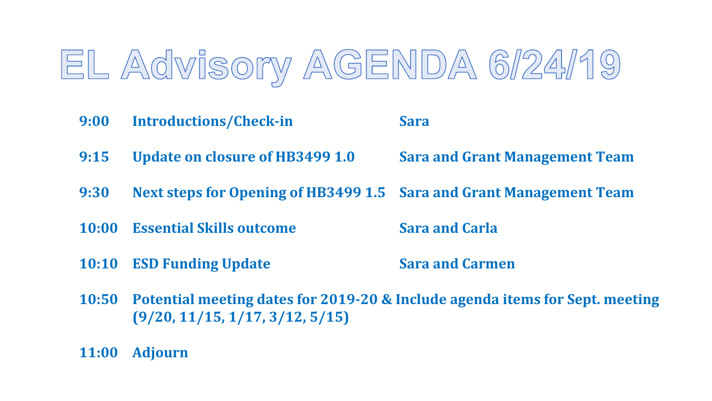## EL Advisory AGENDA 6/24/19

- **9:00 Introductions/Check-in Sara**
- **9:15 Update on closure of HB3499 1.0 Sara and Grant Management Team**

- **9:30 Next steps for Opening of HB3499 1.5 Sara and Grant Management Team**
- **10:00 Essential Skills outcome Sara and Carla**

- **10:10 ESD Funding Update Sara and Carmen**
- **10:50 Potential meeting dates for 2019-20 & Include agenda items for Sept. meeting (9/20, 11/15, 1/17, 3/12, 5/15)**
- **11:00 Adjourn**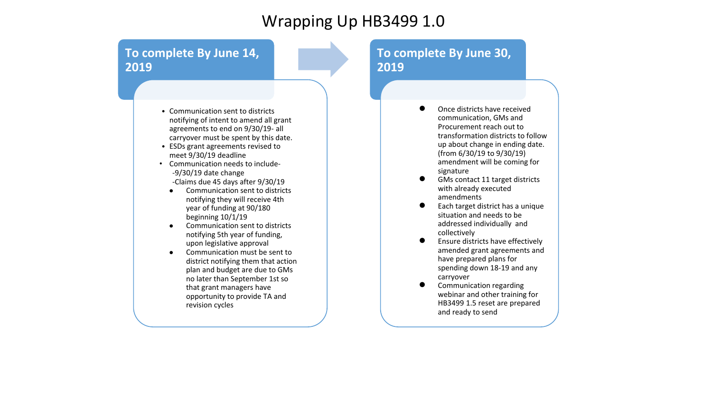### Wrapping Up HB3499 1.0

#### **To complete By June 14, 2019**

- Communication sent to districts notifying of intent to amend all grant agreements to end on 9/30/19- all carryover must be spent by this date.
- ESDs grant agreements revised to meet 9/30/19 deadline
- Communication needs to include- -9/30/19 date change -Claims due 45 days after 9/30/19
	- Communication sent to districts notifying they will receive 4th year of funding at 90/180 beginning 10/1/19
	- Communication sent to districts notifying 5th year of funding, upon legislative approval
	- Communication must be sent to district notifying them that action plan and budget are due to GMs no later than September 1st so that grant managers have opportunity to provide TA and revision cycles

#### **To complete By June 30, 2019**

- Once districts have received communication, GMs and Procurement reach out to transformation districts to follow up about change in ending date. (from 6/30/19 to 9/30/19) amendment will be coming for signature
- GMs contact 11 target districts with already executed amendments
- Each target district has a unique situation and needs to be addressed individually and collectively
- Ensure districts have effectively amended grant agreements and have prepared plans for spending down 18-19 and any carryover
- Communication regarding webinar and other training for HB3499 1.5 reset are prepared and ready to send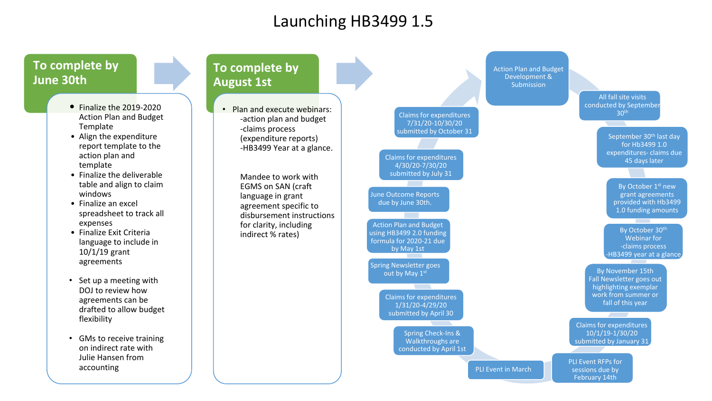### Launching HB3499 1.5

#### **To complete by June 30th**

- Finalize the 2019-2020 Action Plan and Budget Template
- Align the expenditure report template to the action plan and template
- Finalize the deliverable table and align to claim windows
- Finalize an excel spreadsheet to track all expenses
- Finalize Exit Criteria language to include in 10/1/19 grant agreements
- Set up a meeting with DOJ to review how agreements can be drafted to allow budget flexibility
- GMs to receive training on indirect rate with Julie Hansen from accounting

#### **To complete by August 1st**

• Plan and execute webinars: -action plan and budget -claims process (expenditure reports) -HB3499 Year at a glance.

> Mandee to work with EGMS on SAN (craft language in grant agreement specific to disbursement instructions for clarity, including indirect % rates)

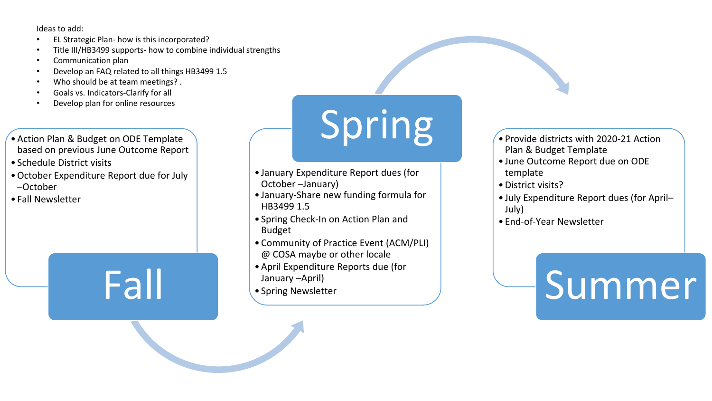Ideas to add:

- EL Strategic Plan- how is this incorporated?
- Title III/HB3499 supports- how to combine individual strengths
- Communication plan
- Develop an FAQ related to all things HB3499 1.5
- Who should be at team meetings?.
- Goals vs. Indicators-Clarify for all
- Develop plan for online resources
- Action Plan & Budget on ODE Template based on previous June Outcome Report
- Schedule District visits
- •October Expenditure Report due for July –October
- Fall Newsletter

Fall

# Spring *envide districts with 2020-21 Action*

- January Expenditure Report dues (for October –January)
- January-Share new funding formula for HB3499 1.5
- Spring Check-In on Action Plan and Budget
- Community of Practice Event (ACM/PLI) @ COSA maybe or other locale
- April Expenditure Reports due (for January –April)
- Spring Newsletter

### Plan & Budget Template

- June Outcome Report due on ODE template
- •District visits?
- July Expenditure Report dues (for April– July)
- End-of-Year Newsletter

# **Summer**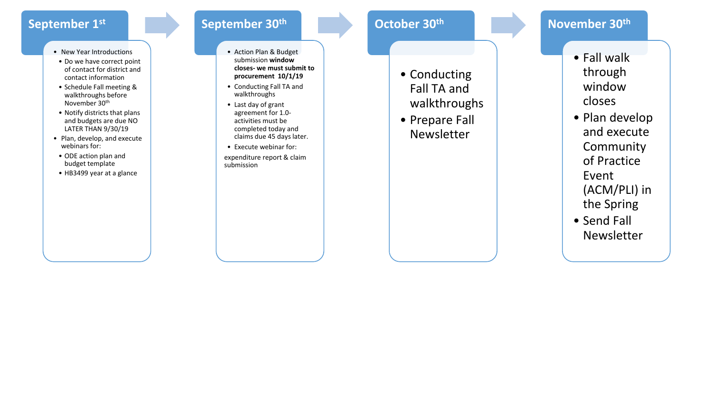#### **September 1st**

- New Year Introductions
- Do we have correct point of contact for district and contact information
- Schedule Fall meeting & walkthroughs before November 30th
- Notify districts that plans and budgets are due NO LATER THAN 9/30/19
- Plan, develop, and execute webinars for:
- ODE action plan and budget template
- HB3499 year at a glance

#### **September 30th**

- Action Plan & Budget submission **window closes - we must submit to procurement 10/1/19**
- Conducting Fall TA and walkthroughs
- Last day of grant agreement for 1.0 activities must be completed today and claims due 45 days later.
- Execute webinar for: expenditure report & claim submission

#### **October 30th**

- Conducting Fall TA and walkthroughs
- Prepare Fall Newsletter

#### **November 30th**

- Fall walk through window closes
- Plan develop and execute **Community** of Practice Event (ACM/PLI) in the Spring
- Send Fall Newsletter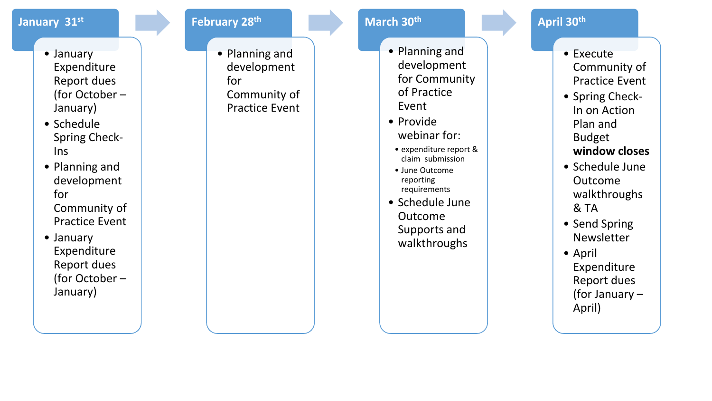#### **January 31st**

- January Expenditure Report dues (for October – January)
- Schedule Spring Check - Ins
- Planning and development for Community of Practice Event
- January Expenditure Report dues (for October – January)

• Planning and development for Community of Practice Event

**February 28th**

#### **March 30th**

- Planning and development for Community of Practice Event
- Provide webinar for:
	- expenditure report & claim submission
	- June Outcome reporting requirements
- Schedule June Outcome Supports and walkthroughs

#### **April 30th**

- Execute Community of Practice Event
- Spring Check In on Action Plan and Budget **window closes**
- Schedule June Outcome walkthroughs & TA
- Send Spring Newsletter
- April Expenditure Report dues (for January – April)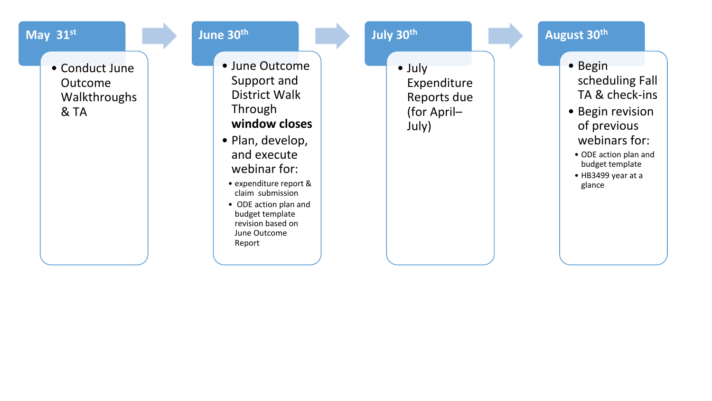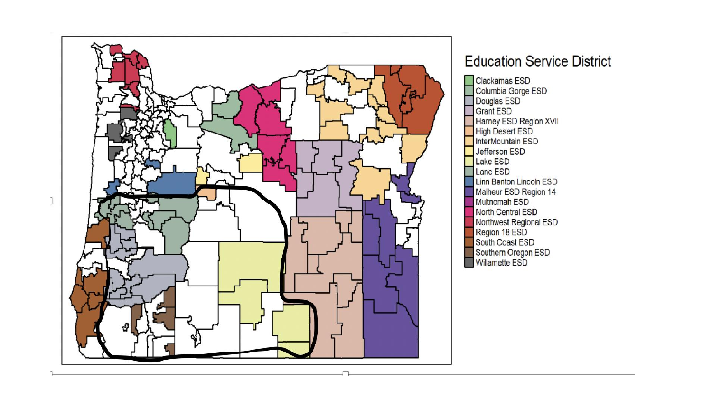

#### **Education Service District**

**Clackamas ESD** Columbia Gorge ESD Douglas ESD **Grant ESD** Harney ESD Region XVII **High Desert ESD** InterMountain ESD Jefferson ESD Lake ESD Lane ESD Linn Benton Lincoln ESD Malheur ESD Region 14 **Multnomah ESD** North Central ESD Northwest Regional ESD Region 18 ESD South Coast ESD Southern Oregon ESD Willamette ESD